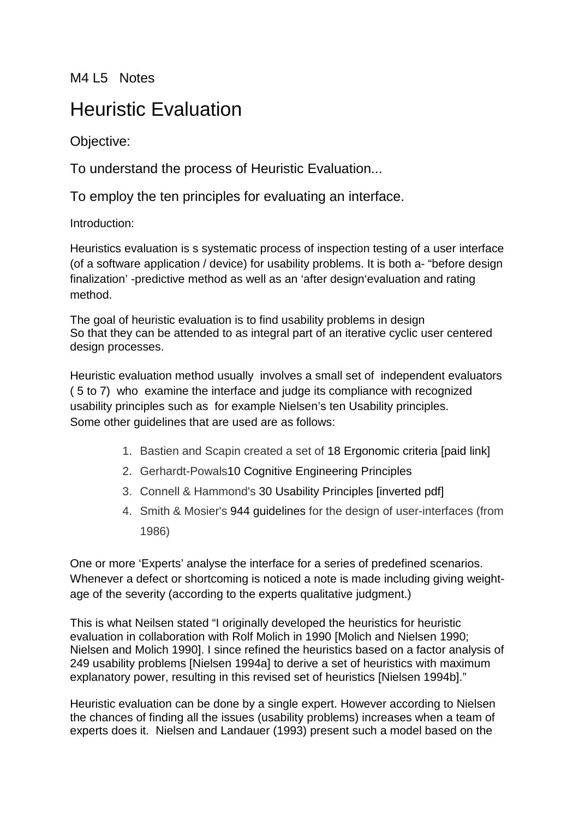M4 L5 Notes

## Heuristic Evaluation

Objective:

To understand the process of Heuristic Evaluation...

To employ the ten principles for evaluating an interface.

Introduction:

Heuristics evaluation is s systematic process of inspection testing of a user interface (of a software application / device) for usability problems. It is both a- "before design finalization' -predictive method as well as an 'after design'evaluation and rating method.

The goal of heuristic evaluation is to find usability problems in design So that they can be attended to as integral part of an iterative cyclic user centered design processes.

Heuristic evaluation method usually involves a small set of independent evaluators ( 5 to 7) who examine the interface and judge its compliance with recognized usability principles such as for example Nielsen's ten Usability principles. Some other guidelines that are used are as follows:

- 1. Bastien and Scapin created a set of 18 Ergonomic criteria [paid link]
- 2. Gerhardt-Powals10 Cognitive Engineering Principles
- 3. Connell & Hammond's 30 Usability Principles [inverted pdf]
- 4. Smith & Mosier's 944 guidelines for the design of user-interfaces (from 1986)

One or more 'Experts' analyse the interface for a series of predefined scenarios. Whenever a defect or shortcoming is noticed a note is made including giving weightage of the severity (according to the experts qualitative judgment.)

This is what Neilsen stated "I originally developed the heuristics for heuristic evaluation in collaboration with Rolf Molich in 1990 [Molich and Nielsen 1990; Nielsen and Molich 1990]. I since refined the heuristics based on a factor analysis of 249 usability problems [Nielsen 1994a] to derive a set of heuristics with maximum explanatory power, resulting in this revised set of heuristics [Nielsen 1994b]."

Heuristic evaluation can be done by a single expert. However according to Nielsen the chances of finding all the issues (usability problems) increases when a team of experts does it. Nielsen and Landauer (1993) present such a model based on the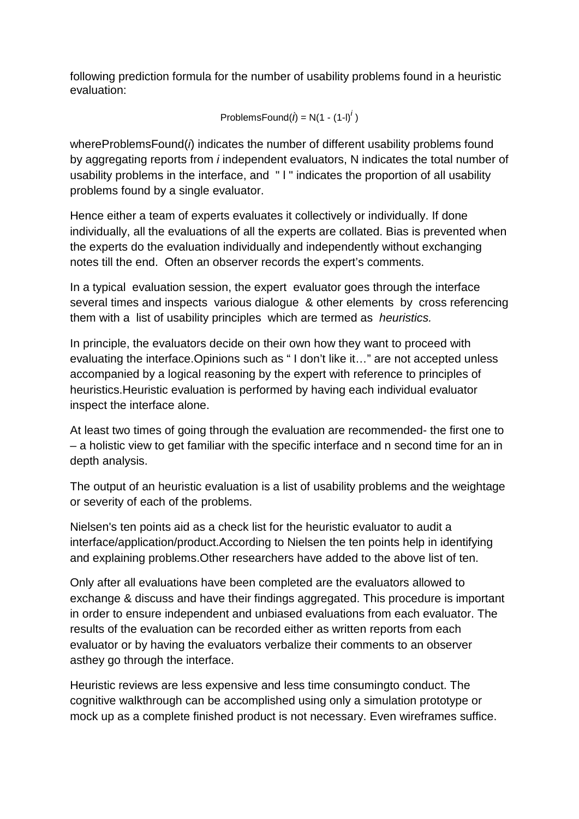following prediction formula for the number of usability problems found in a heuristic evaluation:

ProblemsFound $(i)$  = N(1 - (1-l)<sup>*i*</sup>)

whereProblemsFound(*i*) indicates the number of different usability problems found by aggregating reports from *i* independent evaluators, N indicates the total number of usability problems in the interface, and " l " indicates the proportion of all usability problems found by a single evaluator.

Hence either a team of experts evaluates it collectively or individually. If done individually, all the evaluations of all the experts are collated. Bias is prevented when the experts do the evaluation individually and independently without exchanging notes till the end. Often an observer records the expert's comments.

In a typical evaluation session, the expert evaluator goes through the interface several times and inspects various dialogue & other elements by cross referencing them with a list of usability principles which are termed as *heuristics.*

In principle, the evaluators decide on their own how they want to proceed with evaluating the interface.Opinions such as " I don't like it…" are not accepted unless accompanied by a logical reasoning by the expert with reference to principles of heuristics.Heuristic evaluation is performed by having each individual evaluator inspect the interface alone.

At least two times of going through the evaluation are recommended- the first one to – a holistic view to get familiar with the specific interface and n second time for an in depth analysis.

The output of an heuristic evaluation is a list of usability problems and the weightage or severity of each of the problems.

Nielsen's ten points aid as a check list for the heuristic evaluator to audit a interface/application/product.According to Nielsen the ten points help in identifying and explaining problems.Other researchers have added to the above list of ten.

Only after all evaluations have been completed are the evaluators allowed to exchange & discuss and have their findings aggregated. This procedure is important in order to ensure independent and unbiased evaluations from each evaluator. The results of the evaluation can be recorded either as written reports from each evaluator or by having the evaluators verbalize their comments to an observer asthey go through the interface.

Heuristic reviews are less expensive and less time consumingto conduct. The cognitive walkthrough can be accomplished using only a simulation prototype or mock up as a complete finished product is not necessary. Even wireframes suffice.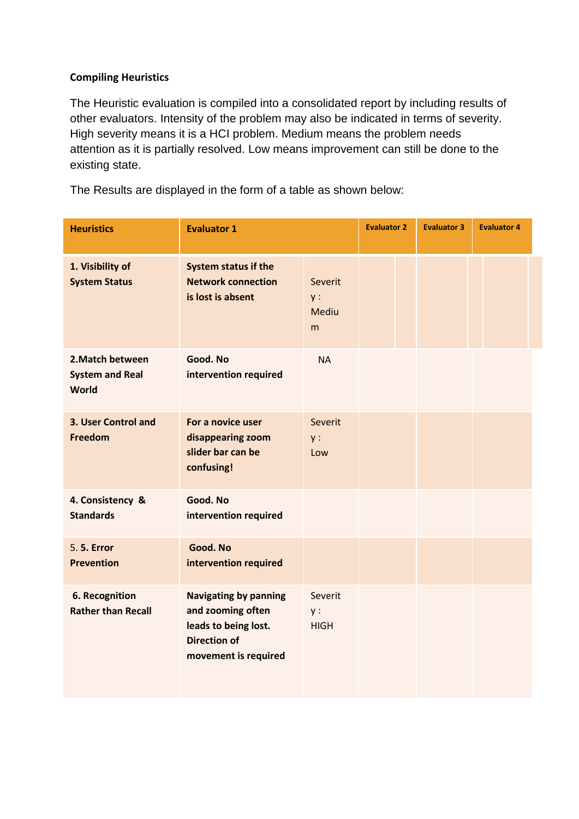#### **Compiling Heuristics**

The Heuristic evaluation is compiled into a consolidated report by including results of other evaluators. Intensity of the problem may also be indicated in terms of severity. High severity means it is a HCI problem. Medium means the problem needs attention as it is partially resolved. Low means improvement can still be done to the existing state.

The Results are displayed in the form of a table as shown below:

| <b>Heuristics</b>                                          | <b>Evaluator 1</b>                                                                                                       |                              | <b>Evaluator 2</b> | <b>Evaluator 3</b> | <b>Evaluator 4</b> |
|------------------------------------------------------------|--------------------------------------------------------------------------------------------------------------------------|------------------------------|--------------------|--------------------|--------------------|
| 1. Visibility of<br><b>System Status</b>                   | System status if the<br><b>Network connection</b><br>is lost is absent                                                   | Severit<br>y:<br>Mediu<br>m  |                    |                    |                    |
| 2. Match between<br><b>System and Real</b><br><b>World</b> | Good. No<br>intervention required                                                                                        | <b>NA</b>                    |                    |                    |                    |
| 3. User Control and<br><b>Freedom</b>                      | For a novice user<br>disappearing zoom<br>slider bar can be<br>confusing!                                                | Severit<br>$y$ :<br>Low      |                    |                    |                    |
| 4. Consistency &<br><b>Standards</b>                       | Good. No<br>intervention required                                                                                        |                              |                    |                    |                    |
| 5. 5. Error<br><b>Prevention</b>                           | Good. No<br>intervention required                                                                                        |                              |                    |                    |                    |
| <b>6. Recognition</b><br><b>Rather than Recall</b>         | <b>Navigating by panning</b><br>and zooming often<br>leads to being lost.<br><b>Direction of</b><br>movement is required | Severit<br>y:<br><b>HIGH</b> |                    |                    |                    |